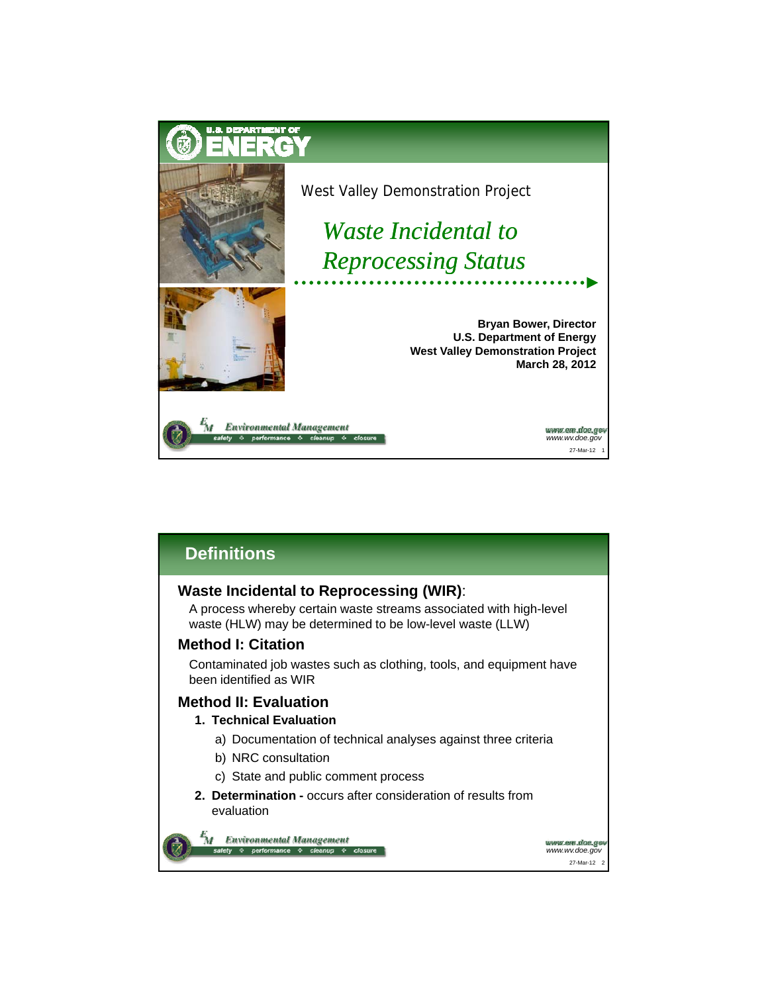

# **Definitions**

## **Waste Incidental to Reprocessing (WIR)**:

A process whereby certain waste streams associated with high-level waste (HLW) may be determined to be low-level waste (LLW)

## **Method I: Citation**

Contaminated job wastes such as clothing, tools, and equipment have been identified as WIR

## **Method II: Evaluation**

#### **1. Technical Evaluation**

- a) Documentation of technical analyses against three criteria
- b) NRC consultation NRC
- c) State and public comment process
- **2. Determination -** occurs after consideration of results from evaluation



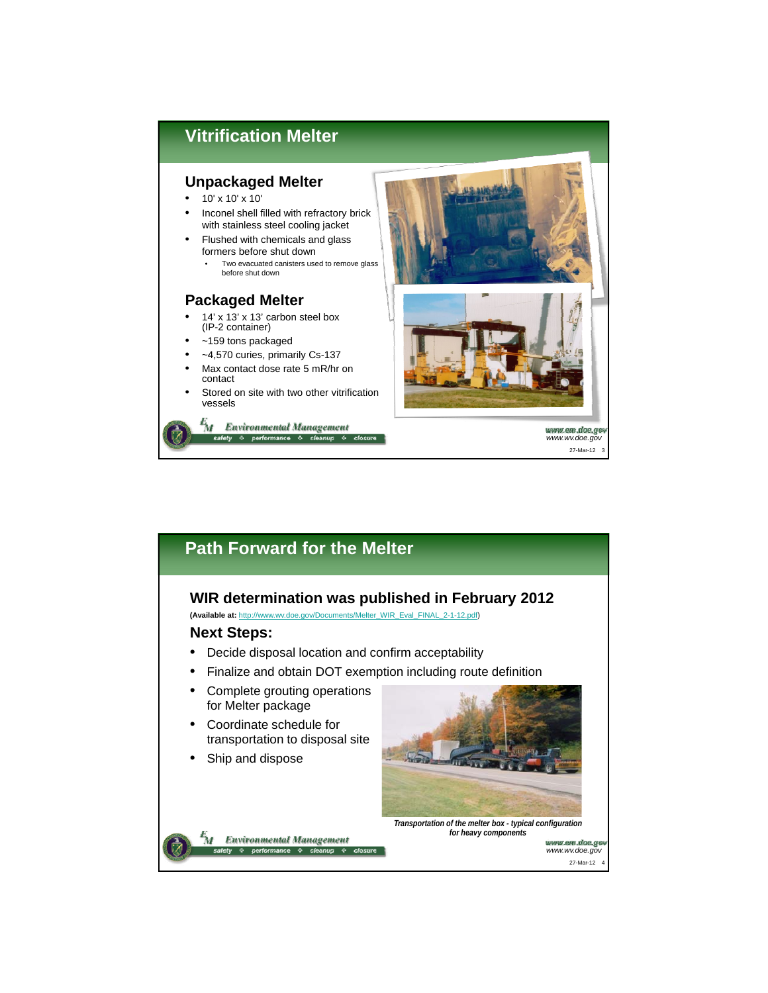